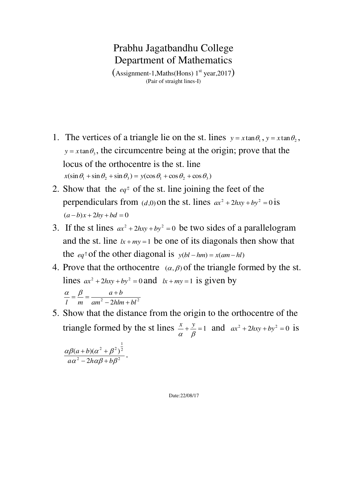$(Assignment-1, Maths(Hons) 1<sup>st</sup> year, 2017)$ (Pair of straight lines-I)

- 1. The vertices of a triangle lie on the st. lines  $y = x \tan \theta_1$ ,  $y = x \tan \theta_2$ ,  $y = x \tan \theta_3$ , the circumcentre being at the origin; prove that the locus of the orthocentre is the st. line  $x(\sin \theta_1 + \sin \theta_2 + \sin \theta_3) = y(\cos \theta_1 + \cos \theta_2 + \cos \theta_3)$
- 2. Show that the  $eq<sup>n</sup>$  of the st. line joining the feet of the perpendiculars from  $(d,0)$  on the st. lines  $ax^2 + 2hxy + by^2 = 0$  is  $(a - b)x + 2hy + bd = 0$
- 3. If the st lines  $ax^2 + 2hxy + by^2 = 0$  be two sides of a parallelogram and the st. line  $lx + my = 1$  be one of its diagonals then show that the *eq*<sup>n</sup> of the other diagonal is  $y(bl - hm) = x(am - hl)$
- 4. Prove that the orthocentre  $(\alpha, \beta)$  of the triangle formed by the st. lines  $ax^2 + 2hxy + by^2 = 0$  and  $lx + my = 1$  is given by  $am^2 - 2hlm + bl^2$  $a + b$ *l*  $m$   $am^2 - 2hlm +$  $\frac{\alpha}{4} = \frac{\beta}{4} = \frac{a+1}{2}$
- 5. Show that the distance from the origin to the orthocentre of the triangle formed by the st lines  $\frac{x}{2} + \frac{y}{2} = 1$  $\alpha$   $\beta$  $\frac{x}{a} + \frac{y}{a} = 1$  and  $ax^2 + 2hxy + by^2 = 0$  is

$$
\frac{\alpha\beta(a+b)(\alpha^2+\beta^2)^{\frac{1}{2}}}{a\alpha^2-2h\alpha\beta+b\beta^2}.
$$

Date:22/08/17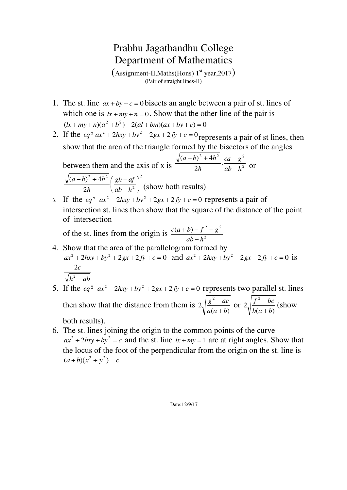$(Assignment-II, Maths(Hons) 1<sup>st</sup> year, 2017)$ (Pair of straight lines-II)

- 1. The st. line  $ax + by + c = 0$  bisects an angle between a pair of st. lines of which one is  $lx + my + n = 0$ . Show that the other line of the pair is  $(k + my + n)(a^2 + b^2) - 2(al + bm)(ax + by + c) = 0$
- 2. If the  $eq^{n}$   $ax^{2} + 2hxy + by^{2} + 2gx + 2fy + c = 0$  represents a pair of st lines, then show that the area of the triangle formed by the bisectors of the angles  $^{2}$  +  $\Delta h^{2}$  22  $a^{2}$

between them and the axis of x is  $\frac{1}{2h}$   $\frac{1}{a+b-h^2}$ . 2  $(a - b)^2 + 4$ *ab h*  $ca - g$ *h*  $(a-b)^2 + 4h$  $\overline{a}$  $(-b)^{2} + 4h^{2}$  ca – or 2 2 2  $(1-h^2)$ 2  $(a - b)^2 + 4$  $\overline{\phantom{a}}$ J  $\left(\frac{gh-af}{h-1^2}\right)$  $\setminus$ ſ  $\overline{a}$  $(-b)^{2} + 4h^{2} (gh$ *ab h gh af h*  $(a-b)^2 + 4h$ (show both results)

3. If the  $eq^n$   $ax^2 + 2hxy + by^2 + 2gx + 2fy + c = 0$  represents a pair of intersection st. lines then show that the square of the distance of the point of intersection

of the st. lines from the origin is  $\frac{c(a+b)-f^2-g^2}{a^2}$ *ab h*  $c(a+b) - f^2 - g$  $\overline{a}$  $(b) - f^2 -$ 

- 4. Show that the area of the parallelogram formed by  $ax^2 + 2hxy + by^2 + 2gx + 2fy + c = 0$  and  $ax^2 + 2hxy + by^2 - 2gx - 2fy + c = 0$  is  $h^2 - ab$ *c*  $2$   $-$ 2
- 5. If the  $eq^{n}$   $ax^{2} + 2hxy + by^{2} + 2gx + 2fy + c = 0$  represents two parallel st. lines then show that the distance from them is  $(a + b)$ 2 2  $a(a+b)$  $g^2 - ac$  $\overline{+}$  $\frac{-ac}{dx}$  or  $(a + b)$ 2 2  $b(a+b)$  $f^2 - bc$  $\overline{+}$  $\frac{-bc}{\sqrt{2}}$  (show) both results).
	-
- 6. The st. lines joining the origin to the common points of the curve  $ax^2 + 2hxy + by^2 = c$  and the st. line  $lx + my = 1$  are at right angles. Show that the locus of the foot of the perpendicular from the origin on the st. line is  $(a+b)(x<sup>2</sup> + y<sup>2</sup>) = c$

Date:12/9/17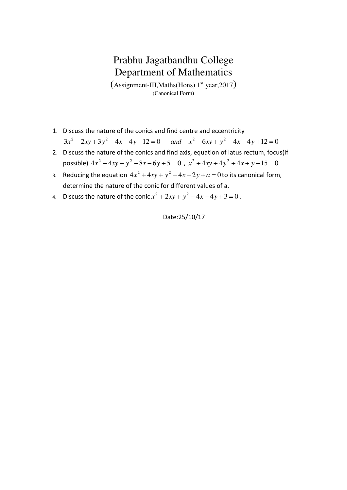$(Assignment-III, Maths(Hons) 1<sup>st</sup> year, 2017)$ (Canonical Form)

- 1. Discuss the nature of the conics and find centre and eccentricity
	- $3x^2 2xy + 3y^2 4x 4y 12 = 0$  and  $x^2 6xy + y^2 4x 4y + 12 = 0$
- 2. Discuss the nature of the conics and find axis, equation of latus rectum, focus(if possible)  $4x^2 - 4xy + y^2 - 8x - 6y + 5 = 0$ ,  $x^2 + 4xy + 4y^2 + 4x + y - 15 = 0$
- 3. Reducing the equation  $4x^2 + 4xy + y^2 4x 2y + a = 0$  to its canonical form, determine the nature of the conic for different values of a.
- 4. Discuss the nature of the conic  $x^2 + 2xy + y^2 4x 4y + 3 = 0$ .

Date:25/10/17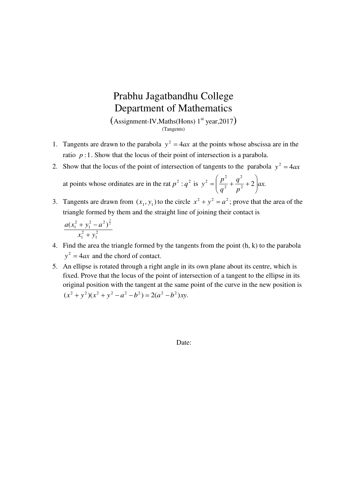$(Assignment-IV, Maths(Hons) 1<sup>st</sup> year, 2017)$ (Tangents)

- 1. Tangents are drawn to the parabola  $y^2 = 4ax$  at the points whose abscissa are in the ratio  $p:1$ . Show that the locus of their point of intersection is a parabola.
- 2. Show that the locus of the point of intersection of tangents to the parabola  $y^2 = 4ax$ at points whose ordinates are in the rat  $p^2$ :  $q^2$  is  $y^2 = \frac{p}{q^2} + \frac{q}{r^2} + 2qx$ . 2 2  $2 = \left(\frac{p^2}{2} + \frac{q^2}{2} + 2\right)dx$ *p q q*  $y^2 = \left(\frac{p^2}{a^2} + \frac{q^2}{n^2} + 2\right)$  $\bigg)$  $\setminus$  $\overline{\phantom{a}}$  $\setminus$ ſ  $=\frac{p}{2} + \frac{q}{2} +$
- 3. Tangents are drawn from  $(x_1, y_1)$  to the circle  $x^2 + y^2 = a^2$ ; prove that the area of the triangle formed by them and the straight line of joining their contact is

$$
\frac{a(x_1^2 + y_1^2 - a^2)^{\frac{3}{2}}}{x_1^2 + y_1^2}
$$

- 4. Find the area the triangle formed by the tangents from the point (h, k) to the parabola  $y^2 = 4ax$  and the chord of contact.
- 5. An ellipse is rotated through a right angle in its own plane about its centre, which is fixed. Prove that the locus of the point of intersection of a tangent to the ellipse in its original position with the tangent at the same point of the curve in the new position is  $(x^{2} + y^{2})(x^{2} + y^{2} - a^{2} - b^{2}) = 2(a^{2} - b^{2})xy.$

Date: